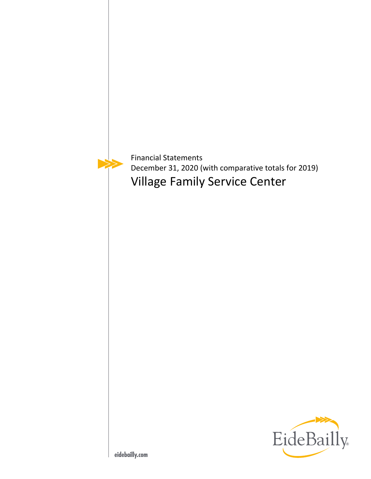Financial Statements December 31, 2020 (with comparative totals for 2019) Village Family Service Center

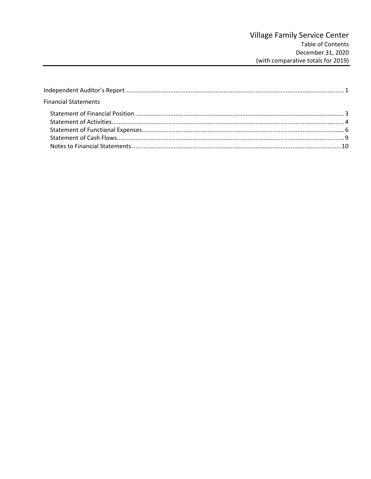| <b>Financial Statements</b> |  |
|-----------------------------|--|
|                             |  |
|                             |  |
|                             |  |
|                             |  |
|                             |  |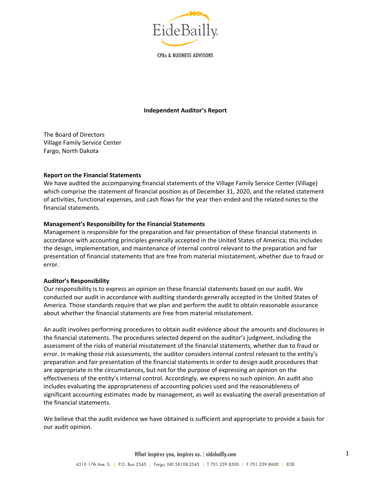

**CPAs & BUSINESS ADVISORS** 

#### **Independent Auditor's Report**

The Board of Directors Village Family Service Center Fargo, North Dakota

#### **Report on the Financial Statements**

We have audited the accompanying financial statements of the Village Family Service Center (Village) which comprise the statement of financial position as of December 31, 2020, and the related statement of activities, functional expenses, and cash flows for the year then ended and the related notes to the financial statements.

#### **Management's Responsibility for the Financial Statements**

Management is responsible for the preparation and fair presentation of these financial statements in accordance with accounting principles generally accepted in the United States of America; this includes the design, implementation, and maintenance of internal control relevant to the preparation and fair presentation of financial statements that are free from material misstatement, whether due to fraud or error.

#### **Auditor's Responsibility**

Our responsibility is to express an opinion on these financial statements based on our audit. We conducted our audit in accordance with auditing standards generally accepted in the United States of America. Those standards require that we plan and perform the audit to obtain reasonable assurance about whether the financial statements are free from material misstatement.

An audit involves performing procedures to obtain audit evidence about the amounts and disclosures in the financial statements. The procedures selected depend on the auditor's judgment, including the assessment of the risks of material misstatement of the financial statements, whether due to fraud or error. In making those risk assessments, the auditor considers internal control relevant to the entity's preparation and fair presentation of the financial statements in order to design audit procedures that are appropriate in the circumstances, but not for the purpose of expressing an opinion on the effectiveness of the entity's internal control. Accordingly, we express no such opinion. An audit also includes evaluating the appropriateness of accounting policies used and the reasonableness of significant accounting estimates made by management, as well as evaluating the overall presentation of the financial statements.

We believe that the audit evidence we have obtained is sufficient and appropriate to provide a basis for our audit opinion.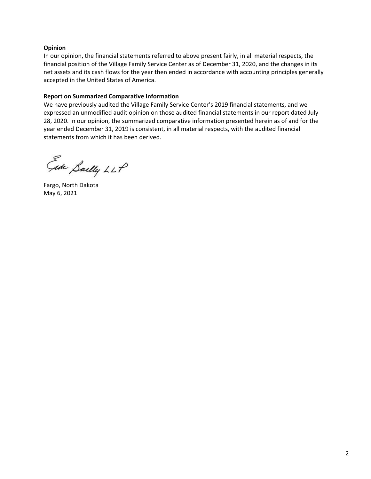#### **Opinion**

In our opinion, the financial statements referred to above present fairly, in all material respects, the financial position of the Village Family Service Center as of December 31, 2020, and the changes in its net assets and its cash flows for the year then ended in accordance with accounting principles generally accepted in the United States of America.

#### **Report on Summarized Comparative Information**

We have previously audited the Village Family Service Center's 2019 financial statements, and we expressed an unmodified audit opinion on those audited financial statements in our report dated July 28, 2020. In our opinion, the summarized comparative information presented herein as of and for the year ended December 31, 2019 is consistent, in all material respects, with the audited financial statements from which it has been derived.

Ede Sailly LLP

Fargo, North Dakota May 6, 2021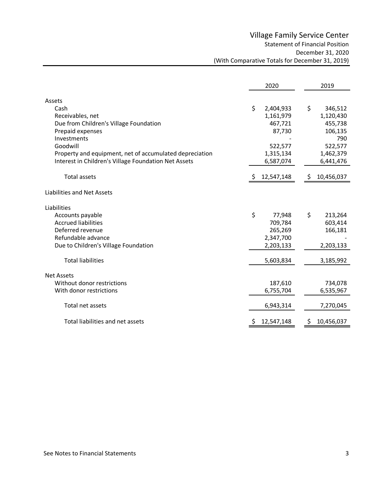# Village Family Service Center Statement of Financial Position December 31, 2020 (With Comparative Totals for December 31, 2019)

|                                                         | 2020 |            |    | 2019       |
|---------------------------------------------------------|------|------------|----|------------|
|                                                         |      |            |    |            |
| Assets                                                  |      |            |    |            |
| Cash                                                    | \$   | 2,404,933  | \$ | 346,512    |
| Receivables, net                                        |      | 1,161,979  |    | 1,120,430  |
| Due from Children's Village Foundation                  |      | 467,721    |    | 455,738    |
| Prepaid expenses                                        |      | 87,730     |    | 106,135    |
| Investments                                             |      |            |    | 790        |
| Goodwill                                                |      | 522,577    |    | 522,577    |
| Property and equipment, net of accumulated depreciation |      | 1,315,134  |    | 1,462,379  |
| Interest in Children's Village Foundation Net Assets    |      | 6,587,074  |    | 6,441,476  |
| Total assets                                            | S    | 12,547,148 | \$ | 10,456,037 |
|                                                         |      |            |    |            |
| Liabilities and Net Assets                              |      |            |    |            |
| Liabilities                                             |      |            |    |            |
| Accounts payable                                        | \$   | 77,948     | \$ | 213,264    |
| <b>Accrued liabilities</b>                              |      | 709,784    |    | 603,414    |
| Deferred revenue                                        |      | 265,269    |    | 166,181    |
| Refundable advance                                      |      | 2,347,700  |    |            |
| Due to Children's Village Foundation                    |      | 2,203,133  |    | 2,203,133  |
| <b>Total liabilities</b>                                |      | 5,603,834  |    | 3,185,992  |
|                                                         |      |            |    |            |
| <b>Net Assets</b>                                       |      |            |    |            |
| Without donor restrictions                              |      | 187,610    |    | 734,078    |
| With donor restrictions                                 |      | 6,755,704  |    | 6,535,967  |
| Total net assets                                        |      | 6,943,314  |    | 7,270,045  |
|                                                         |      |            |    |            |
| Total liabilities and net assets                        | Ş    | 12,547,148 | \$ | 10,456,037 |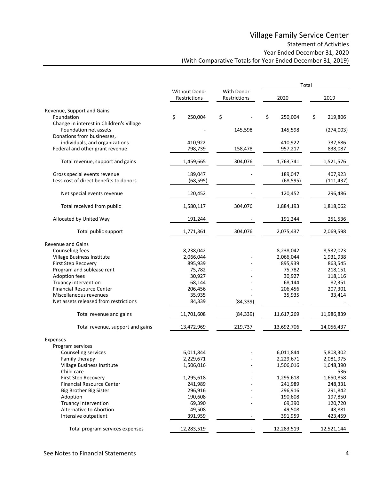# Village Family Service Center

Statement of Activities

Year Ended December 31, 2020

(With Comparative Totals for Year Ended December 31, 2019)

|                                          |                                      |                            | Total         |               |
|------------------------------------------|--------------------------------------|----------------------------|---------------|---------------|
|                                          | <b>Without Donor</b><br>Restrictions | With Donor<br>Restrictions | 2020          | 2019          |
| Revenue, Support and Gains               |                                      |                            |               |               |
| Foundation                               | \$<br>250,004                        | \$                         | \$<br>250,004 | \$<br>219,806 |
| Change in interest in Children's Village |                                      |                            |               |               |
| Foundation net assets                    |                                      | 145,598                    | 145,598       | (274,003)     |
| Donations from businesses,               |                                      |                            |               |               |
| individuals, and organizations           | 410,922                              |                            | 410,922       | 737,686       |
| Federal and other grant revenue          | 798,739                              | 158,478                    | 957,217       | 838,087       |
| Total revenue, support and gains         | 1,459,665                            | 304,076                    | 1,763,741     | 1,521,576     |
| Gross special events revenue             | 189,047                              |                            | 189,047       | 407,923       |
| Less cost of direct benefits to donors   | (68, 595)                            |                            | (68, 595)     | (111, 437)    |
|                                          |                                      |                            |               |               |
| Net special events revenue               | 120,452                              |                            | 120,452       | 296,486       |
| Total received from public               | 1,580,117                            | 304,076                    | 1,884,193     | 1,818,062     |
| Allocated by United Way                  | 191,244                              |                            | 191,244       | 251,536       |
| Total public support                     | 1,771,361                            | 304,076                    | 2,075,437     | 2,069,598     |
| <b>Revenue and Gains</b>                 |                                      |                            |               |               |
| Counseling fees                          | 8,238,042                            |                            | 8,238,042     | 8,532,023     |
| Village Business Institute               | 2,066,044                            |                            | 2,066,044     | 1,931,938     |
| First Step Recovery                      | 895,939                              |                            | 895,939       | 863,545       |
| Program and sublease rent                | 75,782                               |                            | 75,782        | 218,151       |
| Adoption fees                            | 30,927                               |                            | 30,927        | 118,116       |
| Truancy intervention                     | 68,144                               |                            | 68,144        | 82,351        |
| <b>Financial Resource Center</b>         | 206,456                              |                            | 206,456       | 207,301       |
| Miscellaneous revenues                   | 35,935                               |                            | 35,935        | 33,414        |
| Net assets released from restrictions    | 84,339                               | (84, 339)                  |               |               |
| Total revenue and gains                  | 11,701,608                           | (84, 339)                  | 11,617,269    | 11,986,839    |
| Total revenue, support and gains         | 13,472,969                           | 219,737                    | 13,692,706    | 14,056,437    |
| Expenses                                 |                                      |                            |               |               |
| Program services                         |                                      |                            |               |               |
| Counseling services                      | 6,011,844                            |                            | 6,011,844     | 5,808,302     |
| Family therapy                           | 2,229,671                            |                            | 2,229,671     | 2,081,975     |
| Village Business Institute               | 1,506,016                            |                            | 1,506,016     | 1,648,390     |
| Child care                               |                                      |                            |               | 536           |
| <b>First Step Recovery</b>               | 1,295,618                            |                            | 1,295,618     | 1,650,858     |
| <b>Financial Resource Center</b>         | 241,989                              |                            | 241,989       | 248,331       |
| Big Brother Big Sister                   | 296,916                              |                            | 296,916       | 291,842       |
| Adoption                                 | 190,608                              |                            | 190,608       | 197,850       |
| Truancy intervention                     | 69,390                               |                            | 69,390        | 120,720       |
| Alternative to Abortion                  | 49,508                               |                            | 49,508        | 48,881        |
| Intensive outpatient                     | 391,959                              |                            | 391,959       | 423,459       |
| Total program services expenses          | 12,283,519                           |                            | 12,283,519    | 12,521,144    |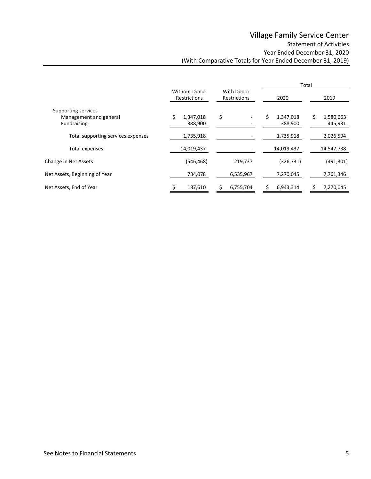# Village Family Service Center Statement of Activities Year Ended December 31, 2020 (With Comparative Totals for Year Ended December 31, 2019)

|                                                              |                                      |                            | Total                     |                            |  |  |  |
|--------------------------------------------------------------|--------------------------------------|----------------------------|---------------------------|----------------------------|--|--|--|
|                                                              | <b>Without Donor</b><br>Restrictions | With Donor<br>Restrictions | 2020                      | 2019                       |  |  |  |
| Supporting services<br>Management and general<br>Fundraising | \$<br>1,347,018<br>388,900           | \$                         | Ś<br>1,347,018<br>388,900 | Ś.<br>1,580,663<br>445,931 |  |  |  |
| Total supporting services expenses                           | 1,735,918                            |                            | 1,735,918                 | 2,026,594                  |  |  |  |
| Total expenses                                               | 14,019,437                           |                            | 14,019,437                | 14,547,738                 |  |  |  |
| Change in Net Assets                                         | (546, 468)                           | 219,737                    | (326, 731)                | (491, 301)                 |  |  |  |
| Net Assets, Beginning of Year                                | 734,078                              | 6,535,967                  | 7,270,045                 | 7,761,346                  |  |  |  |
| Net Assets, End of Year                                      | 187,610                              | 6,755,704                  | 6,943,314<br>S            | 7,270,045<br>S             |  |  |  |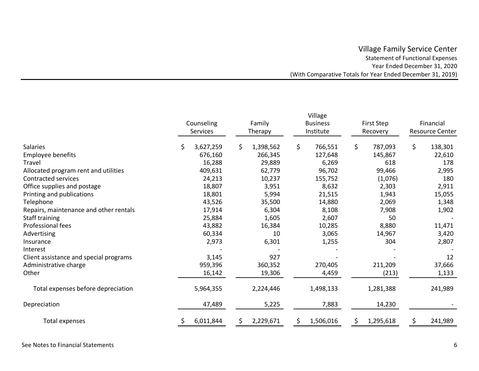# Village Family Service Center Statement of Functional Expenses Year Ended December 31, 2020 (With Comparative Totals for Year Ended December 31, 2019)

|                                        |    | Counseling<br><b>Services</b> |    | Family<br>Therapy |    | Village<br><b>Business</b><br>Institute |    | First Step<br>Recovery |    | Financial<br><b>Resource Center</b> |  |
|----------------------------------------|----|-------------------------------|----|-------------------|----|-----------------------------------------|----|------------------------|----|-------------------------------------|--|
| <b>Salaries</b>                        | \$ | 3,627,259                     | \$ | 1,398,562         | \$ | 766,551                                 | \$ | 787,093                | \$ | 138,301                             |  |
| <b>Employee benefits</b>               |    | 676,160                       |    | 266,345           |    | 127,648                                 |    | 145,867                |    | 22,610                              |  |
| <b>Travel</b>                          |    | 16,288                        |    | 29,889            |    | 6,269                                   |    | 618                    |    | 178                                 |  |
| Allocated program rent and utilities   |    | 409,631                       |    | 62,779            |    | 96,702                                  |    | 99,466                 |    | 2,995                               |  |
| <b>Contracted services</b>             |    | 24,213                        |    | 10,237            |    | 155,752                                 |    | (1,076)                |    | 180                                 |  |
| Office supplies and postage            |    | 18,807                        |    | 3,951             |    | 8,632                                   |    | 2,303                  |    | 2,911                               |  |
| Printing and publications              |    | 18,801                        |    | 5,994             |    | 21,515                                  |    | 1,943                  |    | 15,055                              |  |
| Telephone                              |    | 43,526                        |    | 35,500            |    | 14,880                                  |    | 2,069                  |    | 1,348                               |  |
| Repairs, maintenance and other rentals |    | 17,914                        |    | 6,304             |    | 8,108                                   |    | 7,908                  |    | 1,902                               |  |
| Staff training                         |    | 25,884                        |    | 1,605             |    | 2,607                                   |    | 50                     |    |                                     |  |
| Professional fees                      |    | 43,882                        |    | 16,384            |    | 10,285                                  |    | 8,880                  |    | 11,471                              |  |
| Advertising                            |    | 60,334                        |    | 10                |    | 3,065                                   |    | 14,967                 |    | 3,420                               |  |
| Insurance                              |    | 2,973                         |    | 6,301             |    | 1,255                                   |    | 304                    |    | 2,807                               |  |
| Interest                               |    |                               |    |                   |    |                                         |    |                        |    |                                     |  |
| Client assistance and special programs |    | 3,145                         |    | 927               |    |                                         |    |                        |    | 12                                  |  |
| Administrative charge                  |    | 959,396                       |    | 360,352           |    | 270,405                                 |    | 211,209                |    | 37,666                              |  |
| Other                                  |    | 16,142                        |    | 19,306            |    | 4,459                                   |    | (213)                  |    | 1,133                               |  |
| Total expenses before depreciation     |    | 5,964,355                     |    | 2,224,446         |    | 1,498,133                               |    | 1,281,388              |    | 241,989                             |  |
| Depreciation                           |    | 47,489                        |    | 5,225             |    | 7,883                                   |    | 14,230                 |    |                                     |  |
| Total expenses                         |    | 6,011,844                     |    | 2,229,671         |    | 1,506,016                               | S  | 1,295,618              |    | 241,989                             |  |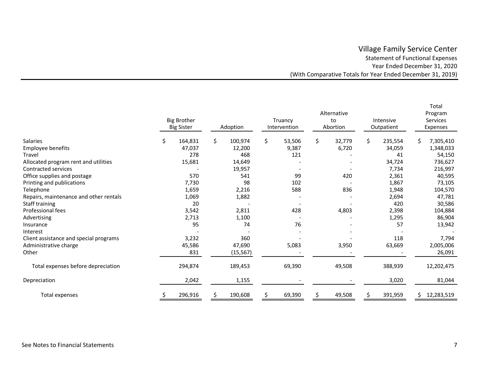# Village Family Service Center Statement of Functional Expenses Year Ended December 31, 2020 (With Comparative Totals for Year Ended December 31, 2019)

|                                        |                    |    |           |                         |    |                |    |            |    | Total      |
|----------------------------------------|--------------------|----|-----------|-------------------------|----|----------------|----|------------|----|------------|
|                                        |                    |    |           |                         |    | Alternative    |    |            |    | Program    |
|                                        | <b>Big Brother</b> |    |           | Truancy<br>Intervention |    | to<br>Abortion |    | Intensive  |    | Services   |
|                                        | <b>Big Sister</b>  |    | Adoption  |                         |    |                |    | Outpatient |    | Expenses   |
| <b>Salaries</b>                        | \$<br>164,831      | Ś. | 100,974   | \$<br>53,506            | \$ | 32,779         | Ś. | 235,554    | Ś. | 7,305,410  |
| Employee benefits                      | 47,037             |    | 12,200    | 9,387                   |    | 6,720          |    | 34,059     |    | 1,348,033  |
| Travel                                 | 278                |    | 468       | 121                     |    |                |    | 41         |    | 54,150     |
| Allocated program rent and utilities   | 15,681             |    | 14,649    |                         |    |                |    | 34,724     |    | 736,627    |
| Contracted services                    |                    |    | 19,957    |                         |    |                |    | 7,734      |    | 216,997    |
| Office supplies and postage            | 570                |    | 541       | 99                      |    | 420            |    | 2,361      |    | 40,595     |
| Printing and publications              | 7,730              |    | 98        | 102                     |    |                |    | 1,867      |    | 73,105     |
| Telephone                              | 1,659              |    | 2,216     | 588                     |    | 836            |    | 1,948      |    | 104,570    |
| Repairs, maintenance and other rentals | 1,069              |    | 1,882     |                         |    |                |    | 2,694      |    | 47,781     |
| Staff training                         | 20                 |    |           |                         |    |                |    | 420        |    | 30,586     |
| Professional fees                      | 3,542              |    | 2,811     | 428                     |    | 4,803          |    | 2,398      |    | 104,884    |
| Advertising                            | 2,713              |    | 1,100     |                         |    |                |    | 1,295      |    | 86,904     |
| Insurance                              | 95                 |    | 74        | 76                      |    |                |    | 57         |    | 13,942     |
| Interest                               |                    |    |           |                         |    |                |    |            |    |            |
| Client assistance and special programs | 3,232              |    | 360       |                         |    |                |    | 118        |    | 7,794      |
| Administrative charge                  | 45,586             |    | 47,690    | 5,083                   |    | 3,950          |    | 63,669     |    | 2,005,006  |
| Other                                  | 831                |    | (15, 567) |                         |    |                |    |            |    | 26,091     |
| Total expenses before depreciation     | 294,874            |    | 189,453   | 69,390                  |    | 49,508         |    | 388,939    |    | 12,202,475 |
| Depreciation                           | 2,042              |    | 1,155     |                         |    |                |    | 3,020      |    | 81,044     |
| Total expenses                         | 296,916            | Ś  | 190,608   | 69,390                  | Ś  | 49,508         |    | 391,959    | Ś  | 12,283,519 |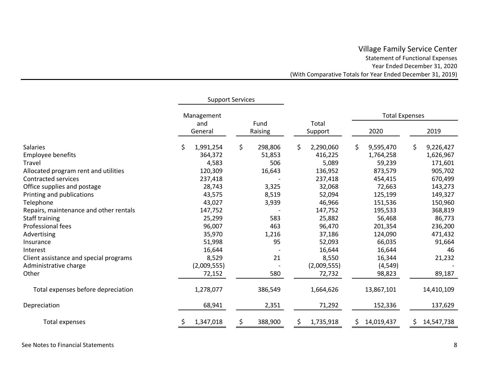# Village Family Service Center

Statement of Functional Expenses Year Ended December 31, 2020

(With Comparative Totals for Year Ended December 31, 2019)

|                                                                                                                                                                                                                                                | <b>Support Services</b>                                                                            |                                                                     |                                                                                                    |                                                                                                         |                                                                                                           |  |
|------------------------------------------------------------------------------------------------------------------------------------------------------------------------------------------------------------------------------------------------|----------------------------------------------------------------------------------------------------|---------------------------------------------------------------------|----------------------------------------------------------------------------------------------------|---------------------------------------------------------------------------------------------------------|-----------------------------------------------------------------------------------------------------------|--|
|                                                                                                                                                                                                                                                | Management<br>and<br>General                                                                       | Fund<br>Raising                                                     | Total<br>Support                                                                                   | <b>Total Expenses</b><br>2020                                                                           | 2019                                                                                                      |  |
| <b>Salaries</b><br><b>Employee benefits</b><br>Travel<br>Allocated program rent and utilities<br><b>Contracted services</b><br>Office supplies and postage<br>Printing and publications<br>Telephone<br>Repairs, maintenance and other rentals | \$<br>1,991,254<br>364,372<br>4,583<br>120,309<br>237,418<br>28,743<br>43,575<br>43,027<br>147,752 | \$<br>298,806<br>51,853<br>506<br>16,643<br>3,325<br>8,519<br>3,939 | \$<br>2,290,060<br>416,225<br>5,089<br>136,952<br>237,418<br>32,068<br>52,094<br>46,966<br>147,752 | \$<br>9,595,470<br>1,764,258<br>59,239<br>873,579<br>454,415<br>72,663<br>125,199<br>151,536<br>195,533 | \$<br>9,226,427<br>1,626,967<br>171,601<br>905,702<br>670,499<br>143,273<br>149,327<br>150,960<br>368,819 |  |
| Staff training<br>Professional fees<br>Advertising<br>Insurance<br>Interest<br>Client assistance and special programs<br>Administrative charge<br>Other                                                                                        | 25,299<br>96,007<br>35,970<br>51,998<br>16,644<br>8,529<br>(2,009,555)<br>72,152                   | 583<br>463<br>1,216<br>95<br>21<br>580                              | 25,882<br>96,470<br>37,186<br>52,093<br>16,644<br>8,550<br>(2,009,555)<br>72,732                   | 56,468<br>201,354<br>124,090<br>66,035<br>16,644<br>16,344<br>(4, 549)<br>98,823                        | 86,773<br>236,200<br>471,432<br>91,664<br>46<br>21,232<br>89,187                                          |  |
| Total expenses before depreciation<br>Depreciation                                                                                                                                                                                             | 1,278,077<br>68,941                                                                                | 386,549<br>2,351                                                    | 1,664,626<br>71,292                                                                                | 13,867,101<br>152,336                                                                                   | 14,410,109<br>137,629                                                                                     |  |
| Total expenses                                                                                                                                                                                                                                 | 1,347,018                                                                                          | 388,900                                                             | 1,735,918                                                                                          | 14,019,437                                                                                              | 14,547,738                                                                                                |  |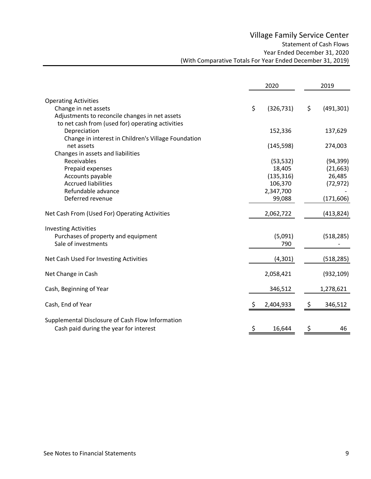|                                                                                                                             | 2020                                                                |    | 2019                                                       |  |  |
|-----------------------------------------------------------------------------------------------------------------------------|---------------------------------------------------------------------|----|------------------------------------------------------------|--|--|
| <b>Operating Activities</b><br>Change in net assets<br>Adjustments to reconcile changes in net assets                       | \$<br>(326, 731)                                                    | \$ | (491, 301)                                                 |  |  |
| to net cash from (used for) operating activities<br>Depreciation<br>Change in interest in Children's Village Foundation     | 152,336                                                             |    | 137,629                                                    |  |  |
| net assets<br>Changes in assets and liabilities                                                                             | (145, 598)                                                          |    | 274,003                                                    |  |  |
| Receivables<br>Prepaid expenses<br>Accounts payable<br><b>Accrued liabilities</b><br>Refundable advance<br>Deferred revenue | (53, 532)<br>18,405<br>(135, 316)<br>106,370<br>2,347,700<br>99,088 |    | (94, 399)<br>(21, 663)<br>26,485<br>(72, 972)<br>(171,606) |  |  |
| Net Cash From (Used For) Operating Activities                                                                               | 2,062,722                                                           |    | (413,824)                                                  |  |  |
| <b>Investing Activities</b><br>Purchases of property and equipment<br>Sale of investments                                   | (5,091)<br>790                                                      |    | (518, 285)                                                 |  |  |
| Net Cash Used For Investing Activities                                                                                      | (4, 301)                                                            |    | (518, 285)                                                 |  |  |
| Net Change in Cash                                                                                                          | 2,058,421                                                           |    | (932, 109)                                                 |  |  |
| Cash, Beginning of Year                                                                                                     | 346,512                                                             |    | 1,278,621                                                  |  |  |
| Cash, End of Year                                                                                                           | 2,404,933                                                           | Ş  | 346,512                                                    |  |  |
| Supplemental Disclosure of Cash Flow Information<br>Cash paid during the year for interest                                  | \$<br>16,644                                                        |    | 46                                                         |  |  |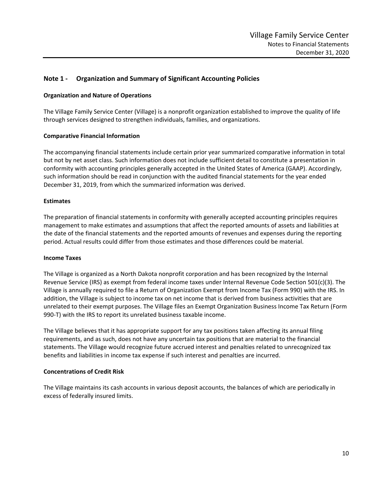# **Note 1 ‐ Organization and Summary of Significant Accounting Policies**

#### **Organization and Nature of Operations**

The Village Family Service Center (Village) is a nonprofit organization established to improve the quality of life through services designed to strengthen individuals, families, and organizations.

#### **Comparative Financial Information**

The accompanying financial statements include certain prior year summarized comparative information in total but not by net asset class. Such information does not include sufficient detail to constitute a presentation in conformity with accounting principles generally accepted in the United States of America (GAAP). Accordingly, such information should be read in conjunction with the audited financial statements for the year ended December 31, 2019, from which the summarized information was derived.

#### **Estimates**

The preparation of financial statements in conformity with generally accepted accounting principles requires management to make estimates and assumptions that affect the reported amounts of assets and liabilities at the date of the financial statements and the reported amounts of revenues and expenses during the reporting period. Actual results could differ from those estimates and those differences could be material.

#### **Income Taxes**

The Village is organized as a North Dakota nonprofit corporation and has been recognized by the Internal Revenue Service (IRS) as exempt from federal income taxes under Internal Revenue Code Section 501(c)(3). The Village is annually required to file a Return of Organization Exempt from Income Tax (Form 990) with the IRS. In addition, the Village is subject to income tax on net income that is derived from business activities that are unrelated to their exempt purposes. The Village files an Exempt Organization Business Income Tax Return (Form 990-T) with the IRS to report its unrelated business taxable income.

The Village believes that it has appropriate support for any tax positions taken affecting its annual filing requirements, and as such, does not have any uncertain tax positions that are material to the financial statements. The Village would recognize future accrued interest and penalties related to unrecognized tax benefits and liabilities in income tax expense if such interest and penalties are incurred.

#### **Concentrations of Credit Risk**

The Village maintains its cash accounts in various deposit accounts, the balances of which are periodically in excess of federally insured limits.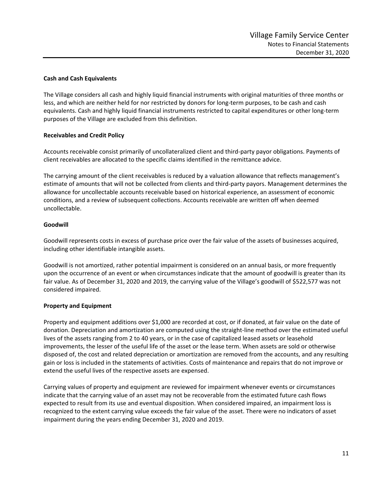## **Cash and Cash Equivalents**

The Village considers all cash and highly liquid financial instruments with original maturities of three months or less, and which are neither held for nor restricted by donors for long-term purposes, to be cash and cash equivalents. Cash and highly liquid financial instruments restricted to capital expenditures or other long‐term purposes of the Village are excluded from this definition.

## **Receivables and Credit Policy**

Accounts receivable consist primarily of uncollateralized client and third‐party payor obligations. Payments of client receivables are allocated to the specific claims identified in the remittance advice.

The carrying amount of the client receivables is reduced by a valuation allowance that reflects management's estimate of amounts that will not be collected from clients and third‐party payors. Management determines the allowance for uncollectable accounts receivable based on historical experience, an assessment of economic conditions, and a review of subsequent collections. Accounts receivable are written off when deemed uncollectable.

## **Goodwill**

Goodwill represents costs in excess of purchase price over the fair value of the assets of businesses acquired, including other identifiable intangible assets.

Goodwill is not amortized, rather potential impairment is considered on an annual basis, or more frequently upon the occurrence of an event or when circumstances indicate that the amount of goodwill is greater than its fair value. As of December 31, 2020 and 2019, the carrying value of the Village's goodwill of \$522,577 was not considered impaired.

#### **Property and Equipment**

Property and equipment additions over \$1,000 are recorded at cost, or if donated, at fair value on the date of donation. Depreciation and amortization are computed using the straight‐line method over the estimated useful lives of the assets ranging from 2 to 40 years, or in the case of capitalized leased assets or leasehold improvements, the lesser of the useful life of the asset or the lease term. When assets are sold or otherwise disposed of, the cost and related depreciation or amortization are removed from the accounts, and any resulting gain or loss is included in the statements of activities. Costs of maintenance and repairs that do not improve or extend the useful lives of the respective assets are expensed.

Carrying values of property and equipment are reviewed for impairment whenever events or circumstances indicate that the carrying value of an asset may not be recoverable from the estimated future cash flows expected to result from its use and eventual disposition. When considered impaired, an impairment loss is recognized to the extent carrying value exceeds the fair value of the asset. There were no indicators of asset impairment during the years ending December 31, 2020 and 2019.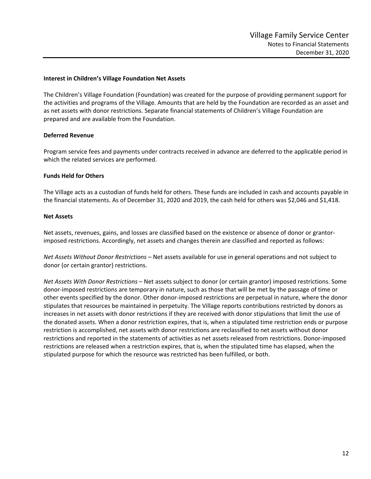#### **Interest in Children's Village Foundation Net Assets**

The Children's Village Foundation (Foundation) was created for the purpose of providing permanent support for the activities and programs of the Village. Amounts that are held by the Foundation are recorded as an asset and as net assets with donor restrictions. Separate financial statements of Children's Village Foundation are prepared and are available from the Foundation.

#### **Deferred Revenue**

Program service fees and payments under contracts received in advance are deferred to the applicable period in which the related services are performed.

#### **Funds Held for Others**

The Village acts as a custodian of funds held for others. These funds are included in cash and accounts payable in the financial statements. As of December 31, 2020 and 2019, the cash held for others was \$2,046 and \$1,418.

#### **Net Assets**

Net assets, revenues, gains, and losses are classified based on the existence or absence of donor or grantor‐ imposed restrictions. Accordingly, net assets and changes therein are classified and reported as follows:

*Net Assets Without Donor Restrictions* – Net assets available for use in general operations and not subject to donor (or certain grantor) restrictions.

*Net Assets With Donor Restrictions* – Net assets subject to donor (or certain grantor) imposed restrictions. Some donor‐imposed restrictions are temporary in nature, such as those that will be met by the passage of time or other events specified by the donor. Other donor‐imposed restrictions are perpetual in nature, where the donor stipulates that resources be maintained in perpetuity. The Village reports contributions restricted by donors as increases in net assets with donor restrictions if they are received with donor stipulations that limit the use of the donated assets. When a donor restriction expires, that is, when a stipulated time restriction ends or purpose restriction is accomplished, net assets with donor restrictions are reclassified to net assets without donor restrictions and reported in the statements of activities as net assets released from restrictions. Donor‐imposed restrictions are released when a restriction expires, that is, when the stipulated time has elapsed, when the stipulated purpose for which the resource was restricted has been fulfilled, or both.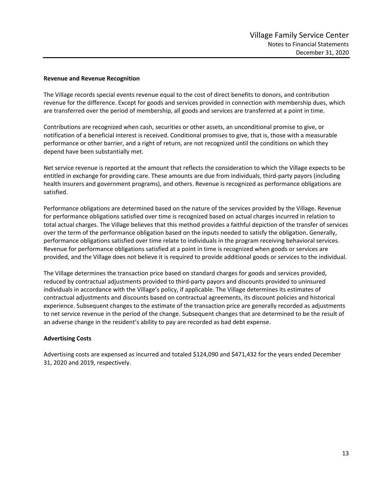#### **Revenue and Revenue Recognition**

The Village records special events revenue equal to the cost of direct benefits to donors, and contribution revenue for the difference. Except for goods and services provided in connection with membership dues, which are transferred over the period of membership, all goods and services are transferred at a point in time.

Contributions are recognized when cash, securities or other assets, an unconditional promise to give, or notification of a beneficial interest is received. Conditional promises to give, that is, those with a measurable performance or other barrier, and a right of return, are not recognized until the conditions on which they depend have been substantially met.

Net service revenue is reported at the amount that reflects the consideration to which the Village expects to be entitled in exchange for providing care. These amounts are due from individuals, third‐party payors (including health insurers and government programs), and others. Revenue is recognized as performance obligations are satisfied.

Performance obligations are determined based on the nature of the services provided by the Village. Revenue for performance obligations satisfied over time is recognized based on actual charges incurred in relation to total actual charges. The Village believes that this method provides a faithful depiction of the transfer of services over the term of the performance obligation based on the inputs needed to satisfy the obligation. Generally, performance obligations satisfied over time relate to individuals in the program receiving behavioral services. Revenue for performance obligations satisfied at a point in time is recognized when goods or services are provided, and the Village does not believe it is required to provide additional goods or services to the individual.

The Village determines the transaction price based on standard charges for goods and services provided, reduced by contractual adjustments provided to third‐party payors and discounts provided to uninsured individuals in accordance with the Village's policy, if applicable. The Village determines its estimates of contractual adjustments and discounts based on contractual agreements, its discount policies and historical experience. Subsequent changes to the estimate of the transaction price are generally recorded as adjustments to net service revenue in the period of the change. Subsequent changes that are determined to be the result of an adverse change in the resident's ability to pay are recorded as bad debt expense.

#### **Advertising Costs**

Advertising costs are expensed as incurred and totaled \$124,090 and \$471,432 for the years ended December 31, 2020 and 2019, respectively.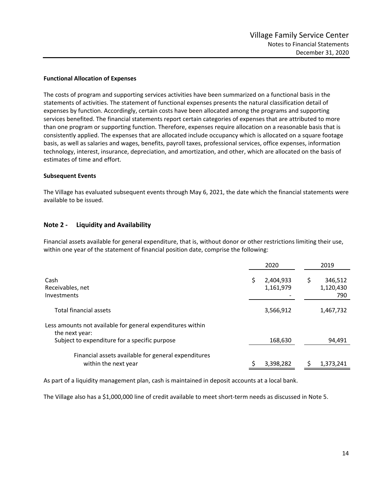### **Functional Allocation of Expenses**

The costs of program and supporting services activities have been summarized on a functional basis in the statements of activities. The statement of functional expenses presents the natural classification detail of expenses by function. Accordingly, certain costs have been allocated among the programs and supporting services benefited. The financial statements report certain categories of expenses that are attributed to more than one program or supporting function. Therefore, expenses require allocation on a reasonable basis that is consistently applied. The expenses that are allocated include occupancy which is allocated on a square footage basis, as well as salaries and wages, benefits, payroll taxes, professional services, office expenses, information technology, interest, insurance, depreciation, and amortization, and other, which are allocated on the basis of estimates of time and effort.

#### **Subsequent Events**

The Village has evaluated subsequent events through May 6, 2021, the date which the financial statements were available to be issued.

# **Note 2 ‐ Liquidity and Availability**

Financial assets available for general expenditure, that is, without donor or other restrictions limiting their use, within one year of the statement of financial position date, comprise the following:

|                                                                              | 2020                         | 2019                              |
|------------------------------------------------------------------------------|------------------------------|-----------------------------------|
| Cash<br>Receivables, net<br>Investments                                      | 2,404,933<br>S.<br>1,161,979 | \$<br>346,512<br>1,120,430<br>790 |
| Total financial assets                                                       | 3,566,912                    | 1,467,732                         |
| Less amounts not available for general expenditures within<br>the next year: |                              |                                   |
| Subject to expenditure for a specific purpose                                | 168,630                      | 94,491                            |
| Financial assets available for general expenditures<br>within the next year  | 3,398,282                    | 1,373,241                         |

As part of a liquidity management plan, cash is maintained in deposit accounts at a local bank.

The Village also has a \$1,000,000 line of credit available to meet short‐term needs as discussed in Note 5.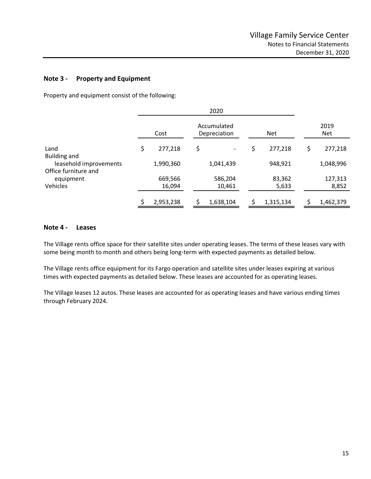## **Note 3 ‐ Property and Equipment**

Property and equipment consist of the following:

|                                                |    | 2020      |    |                             |    |           |    |             |
|------------------------------------------------|----|-----------|----|-----------------------------|----|-----------|----|-------------|
|                                                |    | Cost      |    | Accumulated<br>Depreciation |    | Net       |    | 2019<br>Net |
| Land<br>Building and                           | \$ | 277,218   | \$ |                             | \$ | 277,218   | \$ | 277,218     |
| leasehold improvements<br>Office furniture and |    | 1,990,360 |    | 1,041,439                   |    | 948,921   |    | 1,048,996   |
| equipment                                      |    | 669,566   |    | 586,204                     |    | 83,362    |    | 127,313     |
| Vehicles                                       |    | 16,094    |    | 10,461                      |    | 5,633     |    | 8,852       |
|                                                | Ś  | 2,953,238 |    | 1,638,104                   |    | 1,315,134 | \$ | 1,462,379   |

#### **Note 4 ‐ Leases**

The Village rents office space for their satellite sites under operating leases. The terms of these leases vary with some being month to month and others being long-term with expected payments as detailed below.

The Village rents office equipment for its Fargo operation and satellite sites under leases expiring at various times with expected payments as detailed below. These leases are accounted for as operating leases.

The Village leases 12 autos. These leases are accounted for as operating leases and have various ending times through February 2024.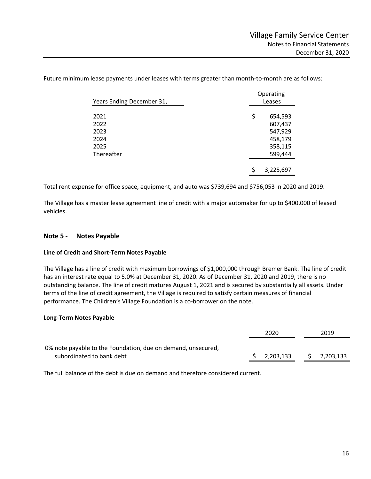| Years Ending December 31,                          |    | Operating<br>Leases                                            |
|----------------------------------------------------|----|----------------------------------------------------------------|
| 2021<br>2022<br>2023<br>2024<br>2025<br>Thereafter | \$ | 654,593<br>607,437<br>547,929<br>458,179<br>358,115<br>599,444 |
|                                                    |    | 3,225,697                                                      |

Future minimum lease payments under leases with terms greater than month-to-month are as follows:

Total rent expense for office space, equipment, and auto was \$739,694 and \$756,053 in 2020 and 2019.

The Village has a master lease agreement line of credit with a major automaker for up to \$400,000 of leased vehicles.

#### **Note 5 ‐ Notes Payable**

#### **Line of Credit and Short‐Term Notes Payable**

The Village has a line of credit with maximum borrowings of \$1,000,000 through Bremer Bank. The line of credit has an interest rate equal to 5.0% at December 31, 2020. As of December 31, 2020 and 2019, there is no outstanding balance. The line of credit matures August 1, 2021 and is secured by substantially all assets. Under terms of the line of credit agreement, the Village is required to satisfy certain measures of financial performance. The Children's Village Foundation is a co-borrower on the note.

#### **Long‐Term Notes Payable**

|                                                                                           | 2020      | 2019      |
|-------------------------------------------------------------------------------------------|-----------|-----------|
| 0% note payable to the Foundation, due on demand, unsecured,<br>subordinated to bank debt | 2,203,133 | 2,203,133 |

The full balance of the debt is due on demand and therefore considered current.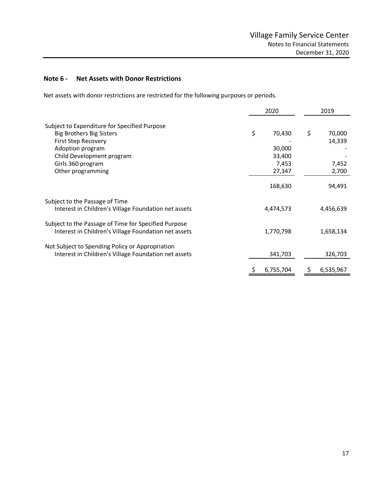# **Note 6 ‐ Net Assets with Donor Restrictions**

Net assets with donor restrictions are restricted for the following purposes or periods.

|                                                                                                                                                                                                          | 2020 |                                                          |    | 2019                                         |  |
|----------------------------------------------------------------------------------------------------------------------------------------------------------------------------------------------------------|------|----------------------------------------------------------|----|----------------------------------------------|--|
| Subject to Expenditure for Specified Purpose<br><b>Big Brothers Big Sisters</b><br><b>First Step Recovery</b><br>Adoption program<br>Child Development program<br>Girls 360 program<br>Other programming | \$   | 70,430<br>30,000<br>33,400<br>7,453<br>27,347<br>168,630 | \$ | 70,000<br>14,339<br>7,452<br>2,700<br>94,491 |  |
| Subject to the Passage of Time<br>Interest in Children's Village Foundation net assets                                                                                                                   |      | 4,474,573                                                |    | 4,456,639                                    |  |
| Subject to the Passage of Time for Specified Purpose<br>Interest in Children's Village Foundation net assets                                                                                             |      | 1,770,798                                                |    | 1,658,134                                    |  |
| Not Subject to Spending Policy or Appropriation<br>Interest in Children's Village Foundation net assets                                                                                                  |      | 341,703                                                  |    | 326,703                                      |  |
|                                                                                                                                                                                                          |      | 6,755,704                                                | Ş  | 6,535,967                                    |  |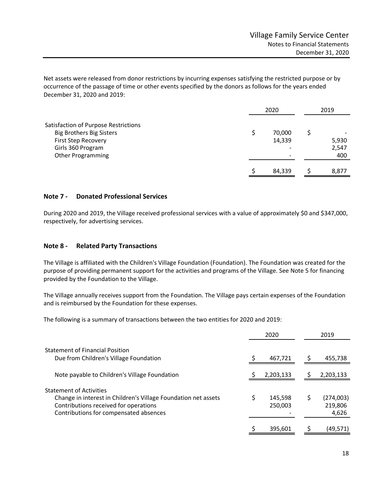Net assets were released from donor restrictions by incurring expenses satisfying the restricted purpose or by occurrence of the passage of time or other events specified by the donors as follows for the years ended December 31, 2020 and 2019:

|                                                                                                       | 2020             |  | 2019         |  |
|-------------------------------------------------------------------------------------------------------|------------------|--|--------------|--|
| Satisfaction of Purpose Restrictions<br><b>Big Brothers Big Sisters</b><br><b>First Step Recovery</b> | 70,000<br>14,339 |  | 5,930        |  |
| Girls 360 Program<br><b>Other Programming</b>                                                         |                  |  | 2,547<br>400 |  |
|                                                                                                       | 84,339           |  | 8,877        |  |

# **Note 7 ‐ Donated Professional Services**

During 2020 and 2019, the Village received professional services with a value of approximately \$0 and \$347,000, respectively, for advertising services.

# **Note 8 ‐ Related Party Transactions**

The Village is affiliated with the Children's Village Foundation (Foundation). The Foundation was created for the purpose of providing permanent support for the activities and programs of the Village. See Note 5 for financing provided by the Foundation to the Village.

The Village annually receives support from the Foundation. The Village pays certain expenses of the Foundation and is reimbursed by the Foundation for these expenses.

The following is a summary of transactions between the two entities for 2020 and 2019:

|                                                                                                                                                                                     | 2020 |                    |   | 2019                          |  |
|-------------------------------------------------------------------------------------------------------------------------------------------------------------------------------------|------|--------------------|---|-------------------------------|--|
| <b>Statement of Financial Position</b><br>Due from Children's Village Foundation                                                                                                    |      | 467,721            |   | 455,738                       |  |
| Note payable to Children's Village Foundation                                                                                                                                       |      | 2,203,133          | S | 2,203,133                     |  |
| <b>Statement of Activities</b><br>Change in interest in Children's Village Foundation net assets<br>Contributions received for operations<br>Contributions for compensated absences |      | 145,598<br>250,003 |   | (274,003)<br>219,806<br>4,626 |  |
|                                                                                                                                                                                     |      | 395.601            |   | (49,571)                      |  |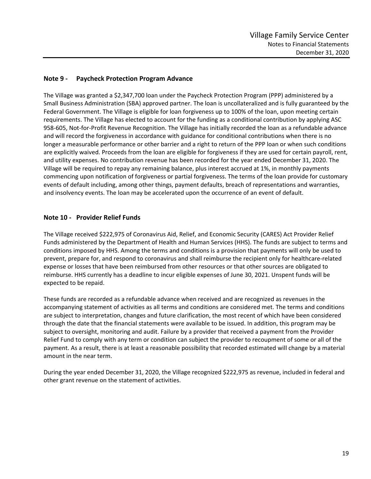# **Note 9 ‐ Paycheck Protection Program Advance**

The Village was granted a \$2,347,700 loan under the Paycheck Protection Program (PPP) administered by a Small Business Administration (SBA) approved partner. The loan is uncollateralized and is fully guaranteed by the Federal Government. The Village is eligible for loan forgiveness up to 100% of the loan, upon meeting certain requirements. The Village has elected to account for the funding as a conditional contribution by applying ASC 958‐605, Not‐for‐Profit Revenue Recognition. The Village has initially recorded the loan as a refundable advance and will record the forgiveness in accordance with guidance for conditional contributions when there is no longer a measurable performance or other barrier and a right to return of the PPP loan or when such conditions are explicitly waived. Proceeds from the loan are eligible for forgiveness if they are used for certain payroll, rent, and utility expenses. No contribution revenue has been recorded for the year ended December 31, 2020. The Village will be required to repay any remaining balance, plus interest accrued at 1%, in monthly payments commencing upon notification of forgiveness or partial forgiveness. The terms of the loan provide for customary events of default including, among other things, payment defaults, breach of representations and warranties, and insolvency events. The loan may be accelerated upon the occurrence of an event of default.

# **Note 10 ‐ Provider Relief Funds**

The Village received \$222,975 of Coronavirus Aid, Relief, and Economic Security (CARES) Act Provider Relief Funds administered by the Department of Health and Human Services (HHS). The funds are subject to terms and conditions imposed by HHS. Among the terms and conditions is a provision that payments will only be used to prevent, prepare for, and respond to coronavirus and shall reimburse the recipient only for healthcare‐related expense or losses that have been reimbursed from other resources or that other sources are obligated to reimburse. HHS currently has a deadline to incur eligible expenses of June 30, 2021. Unspent funds will be expected to be repaid.

These funds are recorded as a refundable advance when received and are recognized as revenues in the accompanying statement of activities as all terms and conditions are considered met. The terms and conditions are subject to interpretation, changes and future clarification, the most recent of which have been considered through the date that the financial statements were available to be issued. In addition, this program may be subject to oversight, monitoring and audit. Failure by a provider that received a payment from the Provider Relief Fund to comply with any term or condition can subject the provider to recoupment of some or all of the payment. As a result, there is at least a reasonable possibility that recorded estimated will change by a material amount in the near term.

During the year ended December 31, 2020, the Village recognized \$222,975 as revenue, included in federal and other grant revenue on the statement of activities.